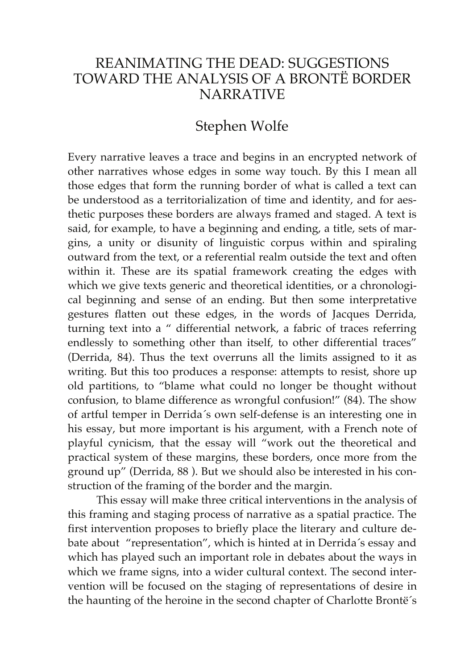## REANIMATING THE DEAD: SUGGESTIONS TOWARD THE ANALYSIS OF A BRONTË BORDER **NARRATIVE**

## Stephen Wolfe

Every narrative leaves a trace and begins in an encrypted network of other narratives whose edges in some way touch. By this I mean all those edges that form the running border of what is called a text can be understood as a territorialization of time and identity, and for aesthetic purposes these borders are always framed and staged. A text is said, for example, to have a beginning and ending, a title, sets of margins, a unity or disunity of linguistic corpus within and spiraling outward from the text, or a referential realm outside the text and often within it. These are its spatial framework creating the edges with which we give texts generic and theoretical identities, or a chronological beginning and sense of an ending. But then some interpretative gestures flatten out these edges, in the words of Jacques Derrida, turning text into a " differential network, a fabric of traces referring endlessly to something other than itself, to other differential traces" (Derrida, 84). Thus the text overruns all the limits assigned to it as writing. But this too produces a response: attempts to resist, shore up old partitions, to "blame what could no longer be thought without confusion, to blame difference as wrongful confusion!" (84). The show of artful temper in Derrida´s own self-defense is an interesting one in his essay, but more important is his argument, with a French note of playful cynicism, that the essay will "work out the theoretical and practical system of these margins, these borders, once more from the ground up" (Derrida, 88 ). But we should also be interested in his construction of the framing of the border and the margin.

 This essay will make three critical interventions in the analysis of this framing and staging process of narrative as a spatial practice. The first intervention proposes to briefly place the literary and culture debate about "representation", which is hinted at in Derrida´s essay and which has played such an important role in debates about the ways in which we frame signs, into a wider cultural context. The second intervention will be focused on the staging of representations of desire in the haunting of the heroine in the second chapter of Charlotte Brontë´s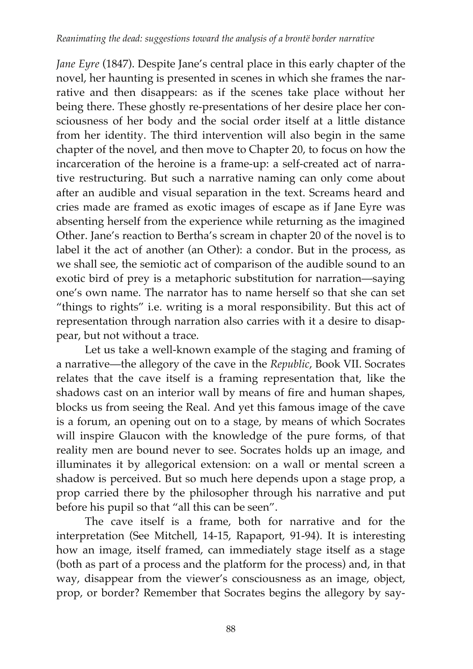*Jane Eyre* (1847). Despite Jane's central place in this early chapter of the novel, her haunting is presented in scenes in which she frames the narrative and then disappears: as if the scenes take place without her being there. These ghostly re-presentations of her desire place her consciousness of her body and the social order itself at a little distance from her identity. The third intervention will also begin in the same chapter of the novel, and then move to Chapter 20, to focus on how the incarceration of the heroine is a frame-up: a self-created act of narrative restructuring. But such a narrative naming can only come about after an audible and visual separation in the text. Screams heard and cries made are framed as exotic images of escape as if Jane Eyre was absenting herself from the experience while returning as the imagined Other. Jane's reaction to Bertha's scream in chapter 20 of the novel is to label it the act of another (an Other): a condor. But in the process, as we shall see, the semiotic act of comparison of the audible sound to an exotic bird of prey is a metaphoric substitution for narration—saying one's own name. The narrator has to name herself so that she can set "things to rights" i.e. writing is a moral responsibility. But this act of representation through narration also carries with it a desire to disappear, but not without a trace.

 Let us take a well-known example of the staging and framing of a narrative—the allegory of the cave in the *Republic*, Book VII. Socrates relates that the cave itself is a framing representation that, like the shadows cast on an interior wall by means of fire and human shapes, blocks us from seeing the Real. And yet this famous image of the cave is a forum, an opening out on to a stage, by means of which Socrates will inspire Glaucon with the knowledge of the pure forms, of that reality men are bound never to see. Socrates holds up an image, and illuminates it by allegorical extension: on a wall or mental screen a shadow is perceived. But so much here depends upon a stage prop, a prop carried there by the philosopher through his narrative and put before his pupil so that "all this can be seen".

 The cave itself is a frame, both for narrative and for the interpretation (See Mitchell, 14-15, Rapaport, 91-94). It is interesting how an image, itself framed, can immediately stage itself as a stage (both as part of a process and the platform for the process) and, in that way, disappear from the viewer's consciousness as an image, object, prop, or border? Remember that Socrates begins the allegory by say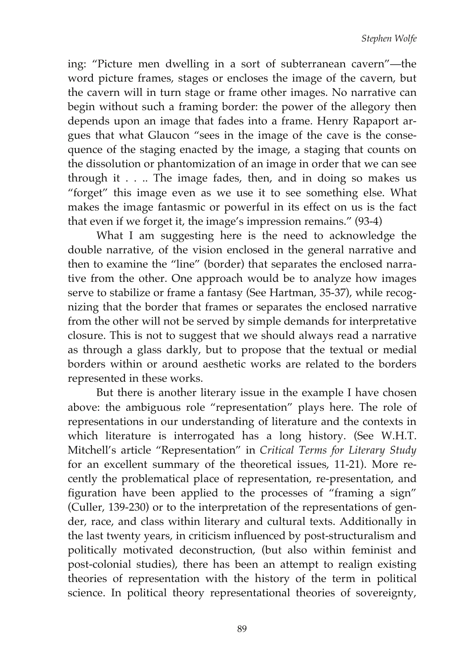ing: "Picture men dwelling in a sort of subterranean cavern"—the word picture frames, stages or encloses the image of the cavern, but the cavern will in turn stage or frame other images. No narrative can begin without such a framing border: the power of the allegory then depends upon an image that fades into a frame. Henry Rapaport argues that what Glaucon "sees in the image of the cave is the consequence of the staging enacted by the image, a staging that counts on the dissolution or phantomization of an image in order that we can see through it . . .. The image fades, then, and in doing so makes us "forget" this image even as we use it to see something else. What makes the image fantasmic or powerful in its effect on us is the fact that even if we forget it, the image's impression remains." (93-4)

What I am suggesting here is the need to acknowledge the double narrative, of the vision enclosed in the general narrative and then to examine the "line" (border) that separates the enclosed narrative from the other. One approach would be to analyze how images serve to stabilize or frame a fantasy (See Hartman, 35-37), while recognizing that the border that frames or separates the enclosed narrative from the other will not be served by simple demands for interpretative closure. This is not to suggest that we should always read a narrative as through a glass darkly, but to propose that the textual or medial borders within or around aesthetic works are related to the borders represented in these works.

 But there is another literary issue in the example I have chosen above: the ambiguous role "representation" plays here. The role of representations in our understanding of literature and the contexts in which literature is interrogated has a long history. (See W.H.T. Mitchell's article "Representation" in *Critical Terms for Literary Study* for an excellent summary of the theoretical issues, 11-21). More recently the problematical place of representation, re-presentation, and figuration have been applied to the processes of "framing a sign" (Culler, 139-230) or to the interpretation of the representations of gender, race, and class within literary and cultural texts. Additionally in the last twenty years, in criticism influenced by post-structuralism and politically motivated deconstruction, (but also within feminist and post-colonial studies), there has been an attempt to realign existing theories of representation with the history of the term in political science. In political theory representational theories of sovereignty,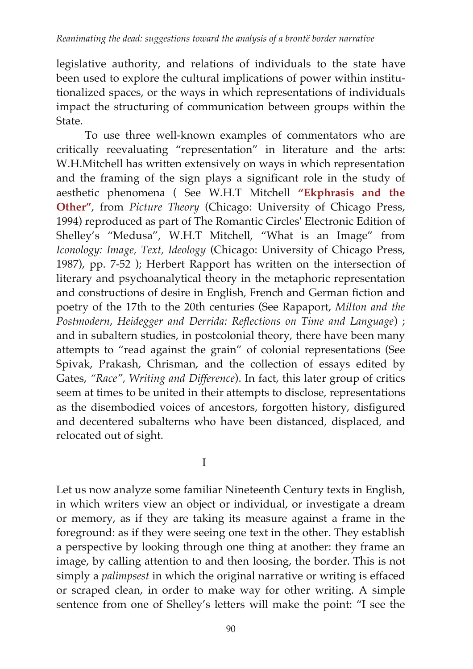legislative authority, and relations of individuals to the state have been used to explore the cultural implications of power within institutionalized spaces, or the ways in which representations of individuals impact the structuring of communication between groups within the State.

 To use three well-known examples of commentators who are critically reevaluating "representation" in literature and the arts: W.H.Mitchell has written extensively on ways in which representation and the framing of the sign plays a significant role in the study of aesthetic phenomena ( See W.H.T Mitchell **"Ekphrasis and the Other"**, from *Picture Theory* (Chicago: University of Chicago Press, 1994) reproduced as part of The Romantic Circles' Electronic Edition of Shelley's "Medusa", W.H.T Mitchell, "What is an Image" from *Iconology: Image, Text, Ideology* (Chicago: University of Chicago Press, 1987), pp. 7-52 ); Herbert Rapport has written on the intersection of literary and psychoanalytical theory in the metaphoric representation and constructions of desire in English, French and German fiction and poetry of the 17th to the 20th centuries (See Rapaport, *Milton and the Postmodern*, *Heidegger and Derrida: Reflections on Time and Language*) ; and in subaltern studies, in postcolonial theory, there have been many attempts to "read against the grain" of colonial representations (See Spivak, Prakash, Chrisman, and the collection of essays edited by Gates, *"Race", Writing and Difference*). In fact, this later group of critics seem at times to be united in their attempts to disclose, representations as the disembodied voices of ancestors, forgotten history, disfigured and decentered subalterns who have been distanced, displaced, and relocated out of sight.

I

Let us now analyze some familiar Nineteenth Century texts in English, in which writers view an object or individual, or investigate a dream or memory, as if they are taking its measure against a frame in the foreground: as if they were seeing one text in the other. They establish a perspective by looking through one thing at another: they frame an image, by calling attention to and then loosing, the border. This is not simply a *palimpsest* in which the original narrative or writing is effaced or scraped clean, in order to make way for other writing. A simple sentence from one of Shelley's letters will make the point: "I see the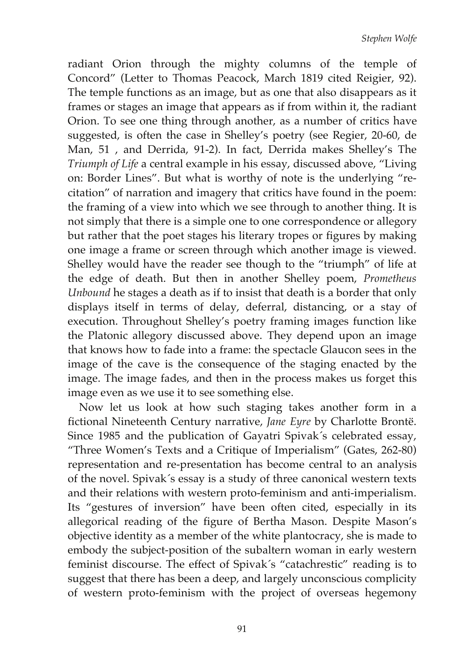radiant Orion through the mighty columns of the temple of Concord" (Letter to Thomas Peacock, March 1819 cited Reigier, 92). The temple functions as an image, but as one that also disappears as it frames or stages an image that appears as if from within it, the radiant Orion. To see one thing through another, as a number of critics have suggested, is often the case in Shelley's poetry (see Regier, 20-60, de Man, 51 , and Derrida, 91-2). In fact, Derrida makes Shelley's The *Triumph of Life* a central example in his essay, discussed above, "Living on: Border Lines". But what is worthy of note is the underlying "recitation" of narration and imagery that critics have found in the poem: the framing of a view into which we see through to another thing. It is not simply that there is a simple one to one correspondence or allegory but rather that the poet stages his literary tropes or figures by making one image a frame or screen through which another image is viewed. Shelley would have the reader see though to the "triumph" of life at the edge of death. But then in another Shelley poem, *Prometheus Unbound* he stages a death as if to insist that death is a border that only displays itself in terms of delay, deferral, distancing, or a stay of execution. Throughout Shelley's poetry framing images function like the Platonic allegory discussed above. They depend upon an image that knows how to fade into a frame: the spectacle Glaucon sees in the image of the cave is the consequence of the staging enacted by the image. The image fades, and then in the process makes us forget this image even as we use it to see something else.

 Now let us look at how such staging takes another form in a fictional Nineteenth Century narrative, *Jane Eyre* by Charlotte Brontë. Since 1985 and the publication of Gayatri Spivak´s celebrated essay, "Three Women's Texts and a Critique of Imperialism" (Gates, 262-80) representation and re-presentation has become central to an analysis of the novel. Spivak´s essay is a study of three canonical western texts and their relations with western proto-feminism and anti-imperialism. Its "gestures of inversion" have been often cited, especially in its allegorical reading of the figure of Bertha Mason. Despite Mason's objective identity as a member of the white plantocracy, she is made to embody the subject-position of the subaltern woman in early western feminist discourse. The effect of Spivak´s "catachrestic" reading is to suggest that there has been a deep, and largely unconscious complicity of western proto-feminism with the project of overseas hegemony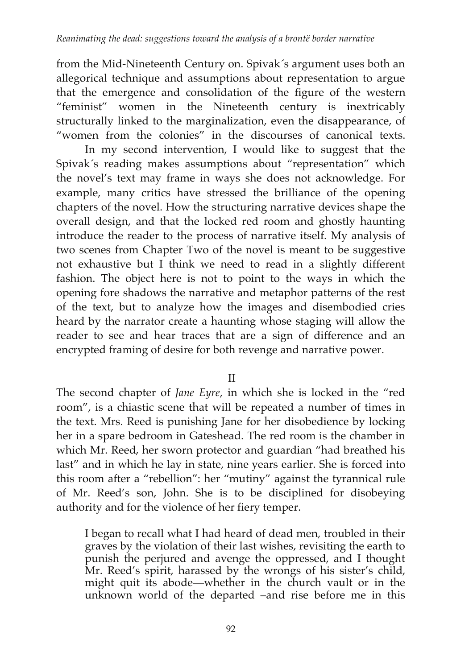from the Mid-Nineteenth Century on. Spivak´s argument uses both an allegorical technique and assumptions about representation to argue that the emergence and consolidation of the figure of the western "feminist" women in the Nineteenth century is inextricably structurally linked to the marginalization, even the disappearance, of "women from the colonies" in the discourses of canonical texts.

 In my second intervention, I would like to suggest that the Spivak´s reading makes assumptions about "representation" which the novel's text may frame in ways she does not acknowledge. For example, many critics have stressed the brilliance of the opening chapters of the novel. How the structuring narrative devices shape the overall design, and that the locked red room and ghostly haunting introduce the reader to the process of narrative itself. My analysis of two scenes from Chapter Two of the novel is meant to be suggestive not exhaustive but I think we need to read in a slightly different fashion. The object here is not to point to the ways in which the opening fore shadows the narrative and metaphor patterns of the rest of the text, but to analyze how the images and disembodied cries heard by the narrator create a haunting whose staging will allow the reader to see and hear traces that are a sign of difference and an encrypted framing of desire for both revenge and narrative power.

II

The second chapter of *Jane Eyre*, in which she is locked in the "red room", is a chiastic scene that will be repeated a number of times in the text. Mrs. Reed is punishing Jane for her disobedience by locking her in a spare bedroom in Gateshead. The red room is the chamber in which Mr. Reed, her sworn protector and guardian "had breathed his last" and in which he lay in state, nine years earlier. She is forced into this room after a "rebellion": her "mutiny" against the tyrannical rule of Mr. Reed's son, John. She is to be disciplined for disobeying authority and for the violence of her fiery temper.

I began to recall what I had heard of dead men, troubled in their graves by the violation of their last wishes, revisiting the earth to punish the perjured and avenge the oppressed, and I thought Mr. Reed's spirit, harassed by the wrongs of his sister's child, might quit its abode—whether in the church vault or in the unknown world of the departed –and rise before me in this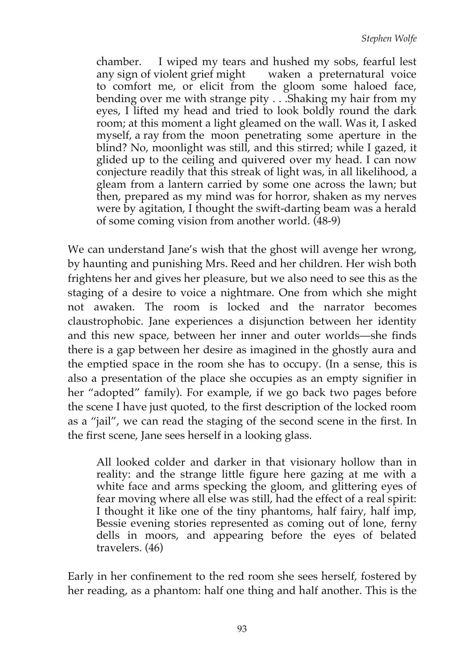chamber. I wiped my tears and hushed my sobs, fearful lest any sign of violent grief might waken a preternatural voice to comfort me, or elicit from the gloom some haloed face, bending over me with strange pity . . .Shaking my hair from my eyes, I lifted my head and tried to look boldly round the dark room; at this moment a light gleamed on the wall. Was it, I asked myself, a ray from the moon penetrating some aperture in the blind? No, moonlight was still, and this stirred; while I gazed, it glided up to the ceiling and quivered over my head. I can now conjecture readily that this streak of light was, in all likelihood, a gleam from a lantern carried by some one across the lawn; but then, prepared as my mind was for horror, shaken as my nerves were by agitation, I thought the swift-darting beam was a herald of some coming vision from another world. (48-9)

We can understand Jane's wish that the ghost will avenge her wrong, by haunting and punishing Mrs. Reed and her children. Her wish both frightens her and gives her pleasure, but we also need to see this as the staging of a desire to voice a nightmare. One from which she might not awaken. The room is locked and the narrator becomes claustrophobic. Jane experiences a disjunction between her identity and this new space, between her inner and outer worlds—she finds there is a gap between her desire as imagined in the ghostly aura and the emptied space in the room she has to occupy. (In a sense, this is also a presentation of the place she occupies as an empty signifier in her "adopted" family). For example, if we go back two pages before the scene I have just quoted, to the first description of the locked room as a "jail", we can read the staging of the second scene in the first. In the first scene, Jane sees herself in a looking glass.

All looked colder and darker in that visionary hollow than in reality: and the strange little figure here gazing at me with a white face and arms specking the gloom, and glittering eyes of fear moving where all else was still, had the effect of a real spirit: I thought it like one of the tiny phantoms, half fairy, half imp, Bessie evening stories represented as coming out of lone, ferny dells in moors, and appearing before the eyes of belated travelers. (46)

Early in her confinement to the red room she sees herself, fostered by her reading, as a phantom: half one thing and half another. This is the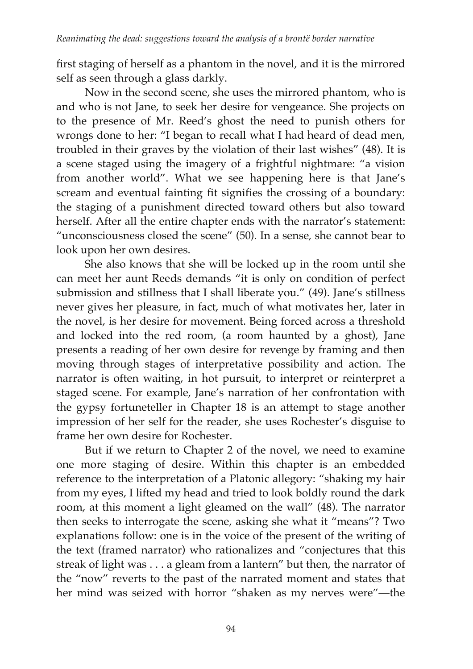first staging of herself as a phantom in the novel, and it is the mirrored self as seen through a glass darkly.

 Now in the second scene, she uses the mirrored phantom, who is and who is not Jane, to seek her desire for vengeance. She projects on to the presence of Mr. Reed's ghost the need to punish others for wrongs done to her: "I began to recall what I had heard of dead men, troubled in their graves by the violation of their last wishes" (48). It is a scene staged using the imagery of a frightful nightmare: "a vision from another world". What we see happening here is that Jane's scream and eventual fainting fit signifies the crossing of a boundary: the staging of a punishment directed toward others but also toward herself. After all the entire chapter ends with the narrator's statement: "unconsciousness closed the scene" (50). In a sense, she cannot bear to look upon her own desires.

 She also knows that she will be locked up in the room until she can meet her aunt Reeds demands "it is only on condition of perfect submission and stillness that I shall liberate you." (49). Jane's stillness never gives her pleasure, in fact, much of what motivates her, later in the novel, is her desire for movement. Being forced across a threshold and locked into the red room, (a room haunted by a ghost), Jane presents a reading of her own desire for revenge by framing and then moving through stages of interpretative possibility and action. The narrator is often waiting, in hot pursuit, to interpret or reinterpret a staged scene. For example, Jane's narration of her confrontation with the gypsy fortuneteller in Chapter 18 is an attempt to stage another impression of her self for the reader, she uses Rochester's disguise to frame her own desire for Rochester.

 But if we return to Chapter 2 of the novel, we need to examine one more staging of desire. Within this chapter is an embedded reference to the interpretation of a Platonic allegory: "shaking my hair from my eyes, I lifted my head and tried to look boldly round the dark room, at this moment a light gleamed on the wall" (48). The narrator then seeks to interrogate the scene, asking she what it "means"? Two explanations follow: one is in the voice of the present of the writing of the text (framed narrator) who rationalizes and "conjectures that this streak of light was . . . a gleam from a lantern" but then, the narrator of the "now" reverts to the past of the narrated moment and states that her mind was seized with horror "shaken as my nerves were"—the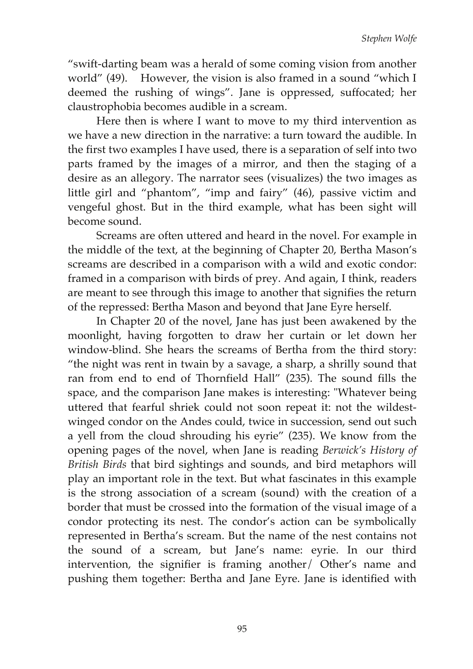"swift-darting beam was a herald of some coming vision from another world" (49). However, the vision is also framed in a sound "which I deemed the rushing of wings". Jane is oppressed, suffocated; her claustrophobia becomes audible in a scream.

 Here then is where I want to move to my third intervention as we have a new direction in the narrative: a turn toward the audible. In the first two examples I have used, there is a separation of self into two parts framed by the images of a mirror, and then the staging of a desire as an allegory. The narrator sees (visualizes) the two images as little girl and "phantom", "imp and fairy" (46), passive victim and vengeful ghost. But in the third example, what has been sight will become sound.

 Screams are often uttered and heard in the novel. For example in the middle of the text, at the beginning of Chapter 20, Bertha Mason's screams are described in a comparison with a wild and exotic condor: framed in a comparison with birds of prey. And again, I think, readers are meant to see through this image to another that signifies the return of the repressed: Bertha Mason and beyond that Jane Eyre herself.

 In Chapter 20 of the novel, Jane has just been awakened by the moonlight, having forgotten to draw her curtain or let down her window-blind. She hears the screams of Bertha from the third story: "the night was rent in twain by a savage, a sharp, a shrilly sound that ran from end to end of Thornfield Hall" (235). The sound fills the space, and the comparison Jane makes is interesting: "Whatever being uttered that fearful shriek could not soon repeat it: not the wildestwinged condor on the Andes could, twice in succession, send out such a yell from the cloud shrouding his eyrie" (235). We know from the opening pages of the novel, when Jane is reading *Berwick's History of British Birds* that bird sightings and sounds, and bird metaphors will play an important role in the text. But what fascinates in this example is the strong association of a scream (sound) with the creation of a border that must be crossed into the formation of the visual image of a condor protecting its nest. The condor's action can be symbolically represented in Bertha's scream. But the name of the nest contains not the sound of a scream, but Jane's name: eyrie. In our third intervention, the signifier is framing another/ Other's name and pushing them together: Bertha and Jane Eyre. Jane is identified with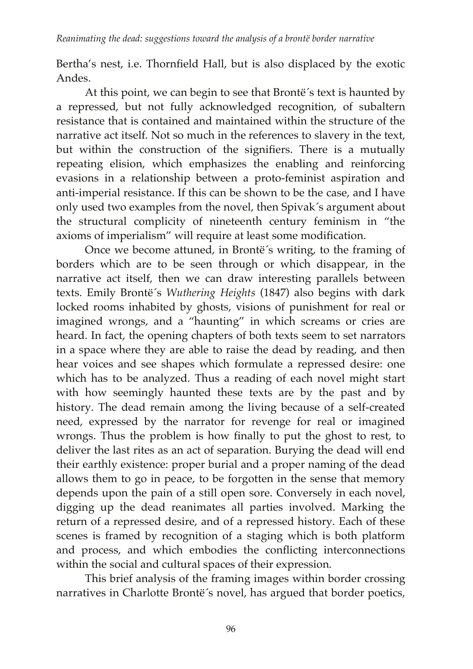Bertha's nest, i.e. Thornfield Hall, but is also displaced by the exotic Andes.

 At this point, we can begin to see that Brontë´s text is haunted by a repressed, but not fully acknowledged recognition, of subaltern resistance that is contained and maintained within the structure of the narrative act itself. Not so much in the references to slavery in the text, but within the construction of the signifiers. There is a mutually repeating elision, which emphasizes the enabling and reinforcing evasions in a relationship between a proto-feminist aspiration and anti-imperial resistance. If this can be shown to be the case, and I have only used two examples from the novel, then Spivak´s argument about the structural complicity of nineteenth century feminism in "the axioms of imperialism" will require at least some modification.

 Once we become attuned, in Brontë´s writing, to the framing of borders which are to be seen through or which disappear, in the narrative act itself, then we can draw interesting parallels between texts. Emily Brontë´s *Wuthering Heights* (1847) also begins with dark locked rooms inhabited by ghosts, visions of punishment for real or imagined wrongs, and a "haunting" in which screams or cries are heard. In fact, the opening chapters of both texts seem to set narrators in a space where they are able to raise the dead by reading, and then hear voices and see shapes which formulate a repressed desire: one which has to be analyzed. Thus a reading of each novel might start with how seemingly haunted these texts are by the past and by history. The dead remain among the living because of a self-created need, expressed by the narrator for revenge for real or imagined wrongs. Thus the problem is how finally to put the ghost to rest, to deliver the last rites as an act of separation. Burying the dead will end their earthly existence: proper burial and a proper naming of the dead allows them to go in peace, to be forgotten in the sense that memory depends upon the pain of a still open sore. Conversely in each novel, digging up the dead reanimates all parties involved. Marking the return of a repressed desire, and of a repressed history. Each of these scenes is framed by recognition of a staging which is both platform and process, and which embodies the conflicting interconnections within the social and cultural spaces of their expression.

 This brief analysis of the framing images within border crossing narratives in Charlotte Brontë´s novel, has argued that border poetics,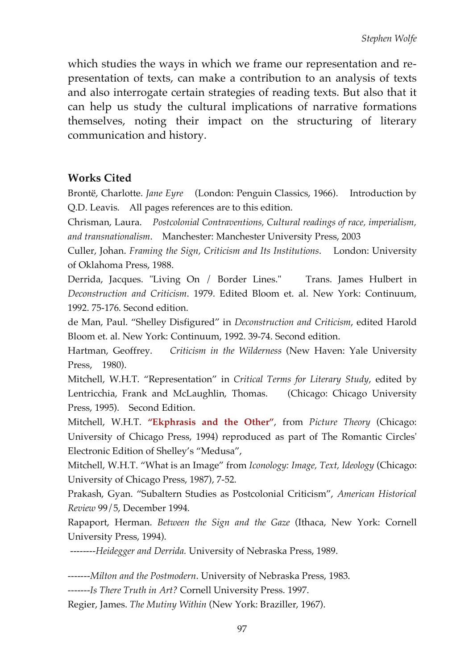which studies the ways in which we frame our representation and representation of texts, can make a contribution to an analysis of texts and also interrogate certain strategies of reading texts. But also that it can help us study the cultural implications of narrative formations themselves, noting their impact on the structuring of literary communication and history.

## **Works Cited**

Brontë, Charlotte. *Jane Eyre* (London: Penguin Classics, 1966). Introduction by Q.D. Leavis. All pages references are to this edition.

Chrisman, Laura. *Postcolonial Contraventions, Cultural readings of race, imperialism, and transnationalism*. Manchester: Manchester University Press, 2003

Culler, Johan. *Framing the Sign, Criticism and Its Institutions*. London: University of Oklahoma Press, 1988.

Derrida, Jacques. "Living On / Border Lines." Trans. James Hulbert in *Deconstruction and Criticism*. 1979. Edited Bloom et. al. New York: Continuum, 1992. 75-176. Second edition.

de Man, Paul. "Shelley Disfigured" in *Deconstruction and Criticism*, edited Harold Bloom et. al. New York: Continuum, 1992. 39-74. Second edition.

Hartman, Geoffrey. *Criticism in the Wilderness* (New Haven: Yale University Press, 1980).

Mitchell, W.H.T. "Representation" in *Critical Terms for Literary Study*, edited by Lentricchia, Frank and McLaughlin, Thomas. (Chicago: Chicago University Press, 1995). Second Edition.

Mitchell, W.H.T. **"Ekphrasis and the Other"**, from *Picture Theory* (Chicago: University of Chicago Press, 1994) reproduced as part of The Romantic Circles' Electronic Edition of Shelley's "Medusa",

Mitchell, W.H.T. "What is an Image" from *Iconology: Image, Text, Ideology* (Chicago: University of Chicago Press, 1987), 7-52.

Prakash, Gyan. "Subaltern Studies as Postcolonial Criticism", *American Historical Review* 99/5, December 1994.

Rapaport, Herman. *Between the Sign and the Gaze* (Ithaca, New York: Cornell University Press, 1994).

 *--------Heidegger and Derrida.* University of Nebraska Press, 1989.

*-------Milton and the Postmodern*. University of Nebraska Press, 1983.

*-------Is There Truth in Art?* Cornell University Press. 1997.

Regier, James. *The Mutiny Within* (New York: Braziller, 1967).